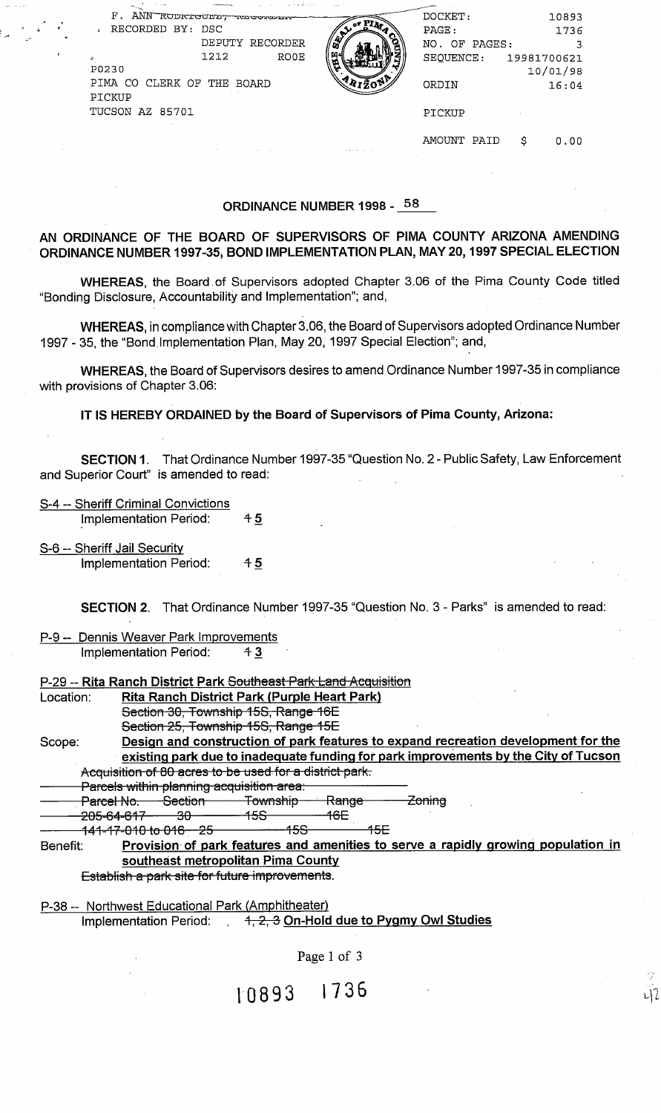| У.<br>یر<br>$\Gamma$ : | F. ANN RODRIGUEZ, NEGORAN<br>RECORDED BY: DSC<br>DEPUTY RECORDER<br>1212<br><b>RO0E</b><br><b>P0230</b><br>PIMA CO<br>CLERK OF<br>THE<br><b>BOARD</b><br>PICKUP<br>TUCSON AZ 85701 | DOCKET:<br>10893<br>PAGE:<br>1736<br>NO. OF PAGES:<br>SEQUENCE:<br>19981700621<br>10/01/98<br>ORDIN<br>16:04<br>PICKUP |  |
|------------------------|------------------------------------------------------------------------------------------------------------------------------------------------------------------------------------|------------------------------------------------------------------------------------------------------------------------|--|
|                        |                                                                                                                                                                                    | AMOUNT<br>PAID<br>S<br>0.00                                                                                            |  |

# ORDINANCE NUMBER 1998 - **58**

# AN ORDINANCE OF THE BOARD OF SUPERVISORS OF PlMA COUNTY ARIZONA AMENDING ORDINANCE NUMBER 1997-35, BOND IMPLEMENTATION PLAN, MAY 20,1997 SPECIAL ELECTION

WHEREAS, the Board .of Supervisors adopted Chapter 3.06 of the Pima County Code titled "Bonding Disclosure, Accountability and Implementation"; and,

WHEREAS, in compliance with Chapter 3.06, the Board of Supervisors adopted Ordinance Number 1997 - 35, the "Bond Implementation Plan, May 20, 1997 Special Election"; and,

WHEREAS, the Board of Supervisors desires to amend Ordinance Number 1997-35 in compliance with provisions of Chapter 3.06:

IT IS HEREBY ORDAINED by the Board of Supervisors of Pima County, Arizona:

|           | IT IS HEREBY ORDAINED by the Board of Supervisors of Pima County, Arizona:                                                           |                 |                  |        |  |
|-----------|--------------------------------------------------------------------------------------------------------------------------------------|-----------------|------------------|--------|--|
|           | SECTION 1. That Ordinance Number 1997-35 "Question No. 2 - Public Safety, Law Enforcement<br>and Superior Court" is amended to read: |                 |                  |        |  |
|           | S-4 -- Sheriff Criminal Convictions<br>Implementation Period:                                                                        | $+5$            |                  |        |  |
|           | S-6 -- Sheriff Jail Security<br>Implementation Period:                                                                               | 45              |                  |        |  |
|           | SECTION 2. That Ordinance Number 1997-35 "Question No. 3 - Parks" is amended to read:                                                |                 |                  |        |  |
|           | P-9 -- Dennis Weaver Park Improvements<br>Implementation Period:                                                                     | 43              |                  |        |  |
|           | P-29 -- Rita Ranch District Park Southeast Park Land Acquisition                                                                     |                 |                  |        |  |
| Location: | Rita Ranch District Park (Purple Heart Park)                                                                                         |                 |                  |        |  |
|           | Section 30, Township 15S, Range 16E                                                                                                  |                 |                  |        |  |
|           | Section 25, Township 15S, Range 15E                                                                                                  |                 |                  |        |  |
| Scope:    | Design and construction of park features to expand recreation development for the                                                    |                 |                  |        |  |
|           | existing park due to inadequate funding for park improvements by the City of Tucson                                                  |                 |                  |        |  |
|           | Acquisition of 80 acres to be used for a district park.                                                                              |                 |                  |        |  |
|           | Parcels within planning acquisition area:                                                                                            |                 |                  |        |  |
|           | <b>Parcel No. Section Township Range</b>                                                                                             |                 |                  | Zoning |  |
|           | <del>205-64-617  30</del>                                                                                                            | <del>-15S</del> | 46E              |        |  |
|           | <del>141-17-010 to 016 25 11 158</del>                                                                                               |                 | <del>- 15E</del> |        |  |
| Benefit:  | Provision of park features and amenities to serve a rapidly growing population in                                                    |                 |                  |        |  |
|           | southeast metropolitan Pima County                                                                                                   |                 |                  |        |  |
|           | Establish a park site for future improvements.                                                                                       |                 |                  |        |  |

P-38 -- Northwest Educational Park (Amphitheater) Implementation Period:  $4, 2, 3$  On-Hold due to Pygmy Owl Studies

Page 1 of 3

니?

10893 1736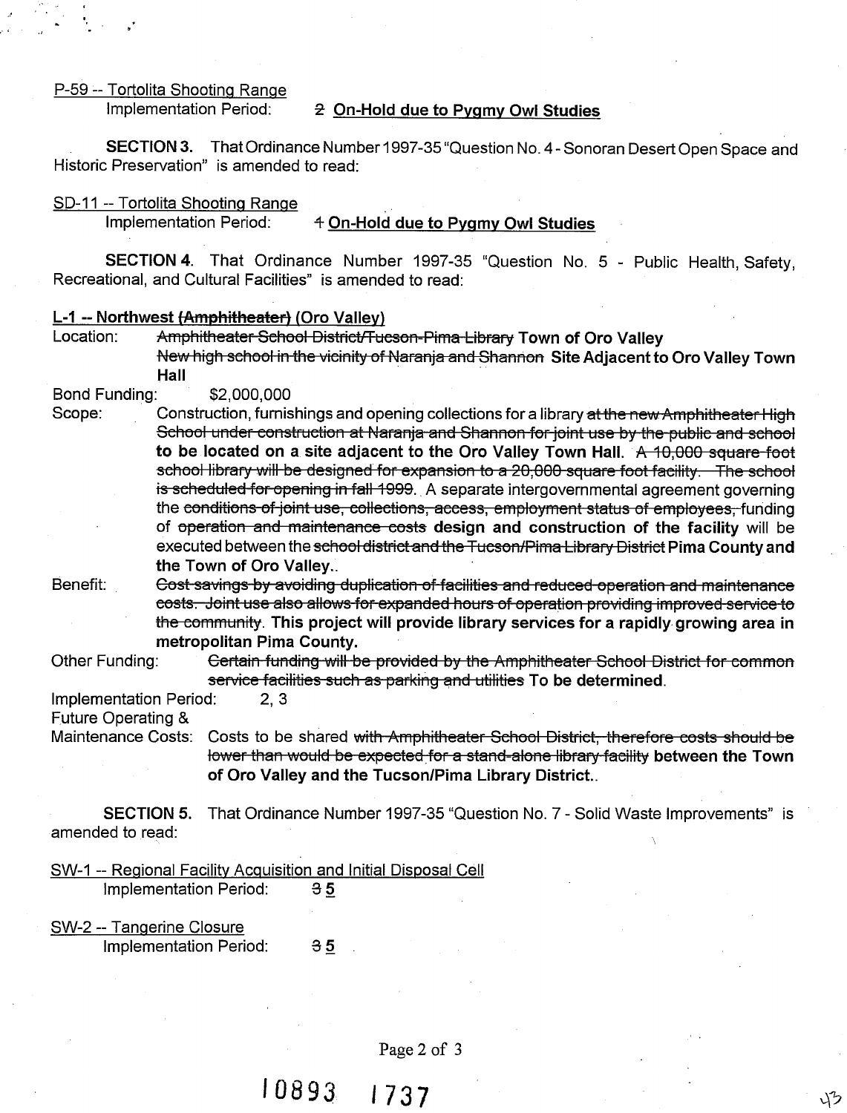#### P-59 -- Tortolita Shooting Range

# Implementation Period: **2** On-Hold due to Pygmy Owl Studies

SECTION 3. That Ordinance Number 1997-35 "Question No. 4 - Sonoran Desert Open Space and Historic Preservation" is amended to read:

SD-11 -- Tortolita Shootinq Range

Implementation Period: 4 On-Hold due to Pygmy Owl Studies

SECTION 4. That Ordinance Number 1997-35 "Question No. 5 - Public Health, Safety, Recreational, and Cultural Facilities" is amended to read:

## L-1 -- Northwest (Amphitheater) (Oro Valley)

Amphitheater School District/Tucson-Pima Library Town of Oro Valley New high school in the vicinity of Naranja and Shannon Site Adjacent to Oro Valley Town Hall

### Bond Funding: \$2,000,000

2.<br>
P-59 - Tortolita Shooting Range<br>
Implementation Period: 2. On-Hold due to Pygmy Owl Studies<br>
SECTION 3. That Ordinance Number 1997-35 "Question No. 4- Sonoran Desert Open S<br>
Islamic SECTION 4. That Ordinance Number 199 Scope: Construction, furnishings and opening collections for a library at the new Amphitheater High to be located on a site adjacent to the Oro Valley Town Hall. A 10,000 square foot **a** Shooting Range<br>
are addition Period: 2. On-Hold due to Pygmy Owl Studies<br>
DN 3. That Ordinance Number 1997-35 'Question No. 4-Sonoran Desert Open Space and<br>
value in Shooting Range<br>
and atom Period: 4. On-Hold due to P school library will be designed for expansion to a 20,000 square foot facility. The school<br>is scheduled for opening in fall 1999. A separate intergovernmental agreement governing<br>the conditions of joint use, collections, a of operation and maintenance costs design and construction of the facility will be executed between the school district and the Tucson/Pima Library District Pima County and the Town of Oro Valley.. **E.59.** - Tortoilla Shooting Renote<br>
implementation Ferindi Shooting Renote<br>
implementation Ferind Shooting Renote<br>
SECTION 3. That Ordination Ferind State to Pygmy Ovi Studies<br>
SECTION 4. The Ordination Ferind State of t oring Range<br>
That Ordinance Mumber 1997-35 "Question No. 5 - Public Health, Safety,<br>
That Ordinance Number 1997-35 "Question No. 5 - Public Health, Safety,<br>
<u>Interlettereft (Oro Valley</u> Town of Oro Valley Town of Oro Valle

the community. This project will provide library services for a rapidly growing area in metropolitan Pima County.

Other Funding:

Implementation Period: 2, **3** 

Maintenance Costs: Costs to be shared with Amphitheater School District, therefore costs should be lower than would be expected for a stand-alone library facility between the Town of Oro Valley and the Tucson/Pima Library District..

SECTION 5. That Ordinance Number 1997-35 "Question No. 7 - Solid Waste Improvements" is amended to read: <sup>1</sup>

SW-1 -- Regional Facility Acquisition and Initial Disposal Cell

Implementation Period: **35** 

SW-2 -- Tangerine Closure Implementation Period: **35** 

Page **2** of **3**